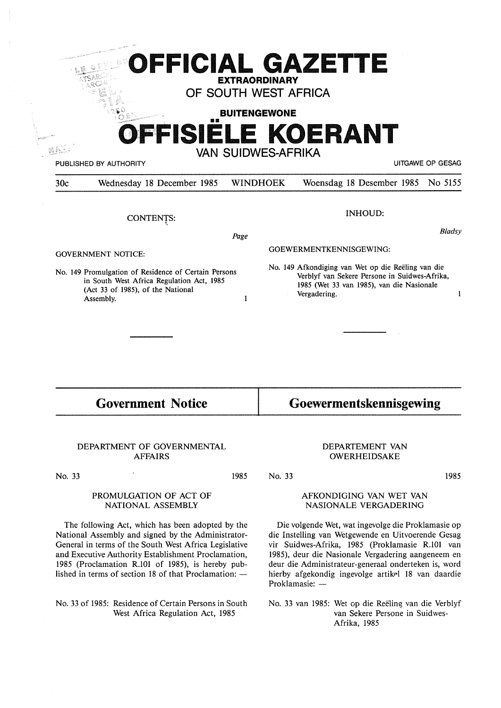|                                                                                                                                                                                  |                            | <b>EXTRAORDINARY</b><br>OF SOUTH WEST AFRICA |                                                                                                                                                                  |                  |
|----------------------------------------------------------------------------------------------------------------------------------------------------------------------------------|----------------------------|----------------------------------------------|------------------------------------------------------------------------------------------------------------------------------------------------------------------|------------------|
|                                                                                                                                                                                  |                            | <b>BUITENGEWONE</b>                          | FFISIELE KOERANT                                                                                                                                                 |                  |
|                                                                                                                                                                                  | PUBLISHED BY AUTHORITY     | <b>VAN SUIDWES-AFRIKA</b>                    |                                                                                                                                                                  | UITGAWE OP GESAG |
| 30c                                                                                                                                                                              | Wednesday 18 December 1985 | <b>WINDHOEK</b>                              | Woensdag 18 Desember 1985                                                                                                                                        | No 5155          |
|                                                                                                                                                                                  | CONTENTS:                  |                                              | <b>INHOUD:</b>                                                                                                                                                   | <b>Bladsy</b>    |
|                                                                                                                                                                                  |                            | Page                                         | GOEWERMENTKENNISGEWING:                                                                                                                                          |                  |
| <b>GOVERNMENT NOTICE:</b><br>No. 149 Promulgation of Residence of Certain Persons<br>in South West Africa Regulation Act, 1985<br>(Act 33 of 1985), of the National<br>Assembly. |                            | 1                                            | No. 149 Afkondiging van Wet op die Reëling van die<br>Verblyf van Sekere Persone in Suidwes-Afrika,<br>1985 (Wet 33 van 1985), van die Nasionale<br>Vergadering. | 1                |
|                                                                                                                                                                                  |                            |                                              |                                                                                                                                                                  |                  |
|                                                                                                                                                                                  |                            |                                              | <b>Goewermentskennisgewing</b>                                                                                                                                   |                  |

# DEPARTMENT OF GOVERNMENTAL AFFAIRS

No. 33

### **PROMULGATION OF ACT OF NATIONAL ASSEMBLY**

The following Act, which has been adopted by the National Assembly and signed by the Administrator-General in terms of the South West Africa Legislative and Executive Authority Establishment Proclamation, 1985 (Proclamation R.101 of 1985), is hereby published in terms of section 18 of that Proclamation:  $-$ 

No. 33 of 1985: Residence of Certain Persons in South West Africa Regulation Act, 1985

# DEPARTEMENT VAN OWERHEIDSAKE

1985 No. 33

# AFKONDIGING VAN WET VAN NASIONALE VERGADERING

1985

Die volgende Wet, wat ingevolge die Proklamasie op die Instelling van Wetgewende en Uitvoerende Gesag vir Suidwes-Afrika, 1985 (Proklamasie R.101 van 1985), deur die Nasionale Vergadering aangeneem en deur die Administrateur-generaal onderteken is, word hierby afgekondig ingevolge artikel 18 van daardie Proklamasie: -

No. 33 van 1985: Wet op die Reeling van die Verblyf van Sekere Persone in Suidwes-Afrika, 1985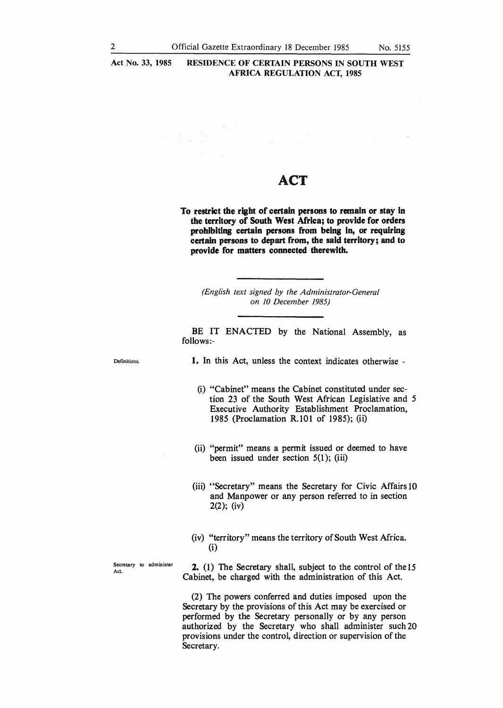**Act No. 33, 1985 RESIDENCE OF CERTAIN PERSONS IN SOUTH WEST AFRICA REGULATION ACT, 1985** 

# ACT

**To restrict the right of certain persons to remain or stay in the territory of South West Africa; to provide for orders prohibiting certain persons from being in, or requiring certain persons to depart from, the said territory; and to provide for matters connected therewith.** 

*(English text signed by the Administrator-General on 10 December 1985)* 

BE IT ENACTED by the National Assembly, as follows:-

Definitions.

**1.** In this Act, unless the context indicates otherwise -

(i) "Cabinet" means the Cabinet constituted under section 23 of the South West African Legislative and *5*  Executive Authority Establishment Proclamation, 1985 (Proclamation R.101 of 1985); (ii)

- (ii) "permit" means a permit issued or deemed to have been issued under section  $5(1)$ ; (iii)
- (iii) "Secretary" means the Secretary for Civic Affairs 10 and Manpower or any person referred to in section 2(2); (iv)
- (iv) "territory" means the territory of South West Africa. (i)

Secretary to administer Act.

2. (1) The Secretary shall, subject to the control of the 15 Cabinet, be charged with the administration of this Act.

(2) The powers conferred and duties imposed upon the Secretary by the provisions of this Act may be exercised or performed by the Secretary personally or by any person authorized by the Secretary who shall administer such 20 provisions under the control, direction or supervision of the Secretary.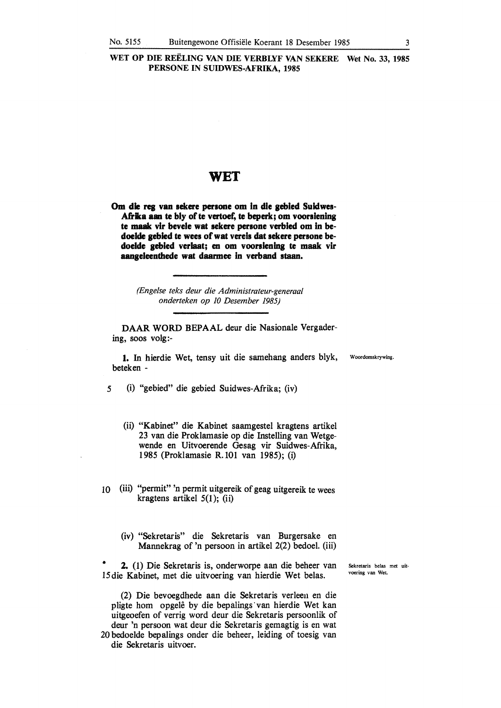# WET

Om die reg van sekere persone om in die gebied Suidwes-Afrika aan te bly of te vertoef, te beperk; om voorslening **te maak vlr bevele wat sekere persone verbled** om In **be**doelde gebied te wees of wat vereis dat sekere persone bedoelde gebied verlaat; en om voorsiening te maak vir **aaqeleenthede wat daarmee In verband staan.** 

> *(Engelse teks deur die Administrateur-generaal onderteken op JO Desember 1985)*

**DAAR WORD** BEPAAL deur die Nasionale Vergadering, soos volg:-

**1.** In hierdie Wet, tensy uit die samehang anders blyk, Woordomskrywing. beteken -

*5* (i) "gebied" die gebied Suidwes-Afrika; (iv)

- (ii) "Kabinet" die Kabinet saamgestel kragtens artikel 23 van die Proklamasie op die lnstelling van Wetgewende en Uitvoerende Gesag vir Suidwes-Afrika, 1985 (Proklamasie R.101 van 1985); (i)
- 10 (iii) "permit" 'n permit uitgereik of geag uitgereik te wees kragtens artikel 5(1); (ii)
	- (iv) "Sekretaris" die Sekretaris van Burgersake en Mannekrag of 'n persoon in artikel 2(2) bedoel. (iii)

• 2. (1) Die Sekretaris is, onderworpe aan die beheer van 15die Kabinet, met die uitvoering van hierdie Wet belas.

(2) Die bevoegdhede aan die Sekretaris verleen en die pligte hom opgelê by die bepalings van hierdie Wet kan uitgeoefen of verrig word deur die Sekretaris persoonlik of deur 'n persoon wat deur die Sekretaris gemagtig is en wat 20 bedoelde bepalings onder die beheer, leiding of toesig van die Sekretaris uitvoer.

Sekretaris belas met uitvoering van Wet.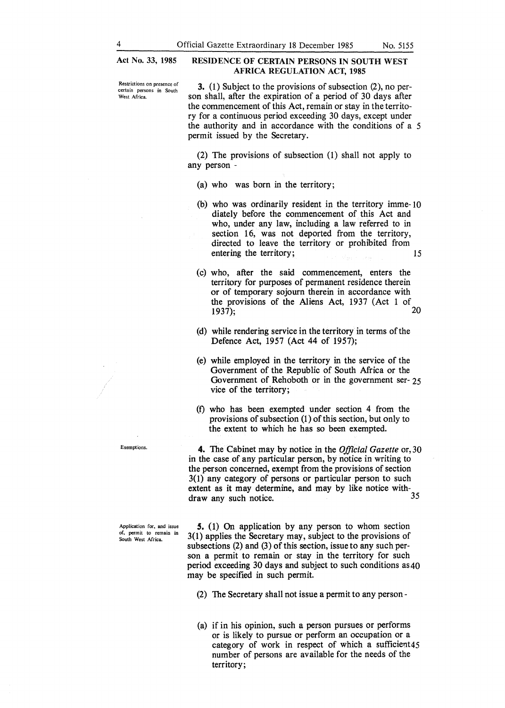**Act No. 33, 1985** 

# **RESIDENCE OF CERTAIN PERSONS IN SOUTH WEST AFRICA REGULATION ACT, 1985**

**Restrictions on presence of certain persons in South**  West Africa.

3. (1) Subject to the provisions of subsection (2), no person shall, after the expiration of a period of 30 days after the commencement of this Act, remain or stay in the territory for a continuous period exceeding 30 days, except under the authority and in accordance with the conditions of a 5 permit issued by the Secretary.

(2) The provisions of subsection (1) shall not apply to any person -

- (a) who was born in the territory;
- (b) who was ordinarily resident in the territory imme-10 diately before the commencement of this Act and who, under any law, including a law referred to in section 16, was not deported from the territory, directed to leave the territory or prohibited from entering the territory; 15
- (c) who, after the said commencement, enters the territory for purposes of permanent residence therein or of temporary sojourn therein in accordance with the provisions of the Aliens Act, 1937 (Act 1 of  $1937$ ). 1937); 20
- (d) while rendering service in the territory in terms of the Defence Act, 1957 (Act 44 of 1957);
- (e) while employed in the territory in the service of the Government of the Republic of South Africa or the Government of Rehoboth or in the government ser- 25 vice of the territory;
- (f) who has been exempted under section 4 from the provisions of subsection (1) of this section, but only to the extent to which he has so been exempted.

4. The Cabinet may by notice in the *Official Gazette* or,30 in the case of any particular person, by notice in writing to the person concerned, exempt from the provisions of section 3(1) any category of persons or particular person to such extent as it may determine, and may by like notice withdraw any such notice. 35

*S.* (1) On application by any person to whom section 3(1) applies the Secretary may, subject to the provisions of subsections (2) and (3) of this section, issue to any such person a permit to remain or stay in the territory for such period exceeding 30 days and subject to such conditions as40 may be specified in such permit.

(a) if in his opinion, such a person pursues or performs or is likely to pursue or perform an occupation or a category of work in respect of which a sufficient45 number of persons are available for the needs of the territory;

Exemptions.

Application for, and issue **of. permit to remain in**  South West Africa.

<sup>(2)</sup> The Secretary shall not issue a permit to any person -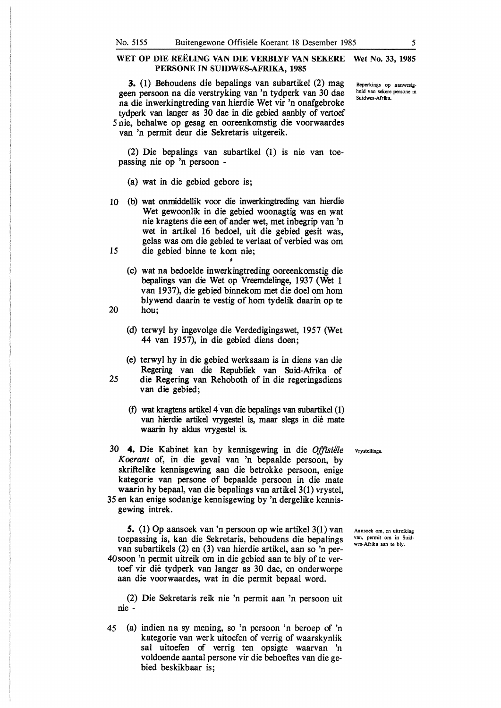**3.** (1) Behoudens die bepalings van subartikel (2) mag geen persoon na die verstryking van 'n tydperk van 30 dae na die inwerkingtreding van hierdie Wet vir 'n onafgebroke tydperk van !anger as 30 dae in die gebied aanbly of vertoef *5* nie, behalwe op gesag en ooreenkomstig die voorwaardes

van 'n permit deur die Sekretaris uitgereik.

(2) Die bepalings van subartikel (1) is nie van toepassing nie op 'n persoon -

- (a) wat in die gebied gebore is;
- 10 (b) wat onmiddellik voor die inwerkingtreding van hierdie Wet gewoonlik in die gebied woonagtig was en wat nie kragtens die een of ander wet, met inbegrip van 'n wet in artikel 16 bedoel, uit die gebied gesit was, gelas was om die gebied te verlaat of verbied was om 15 die gebied binne te kom nie;
- (c) wat na bedoelde inwerkingtreding ooreenkomstig die bepalings van die Wet op Vreemdelinge, 1937 (Wet 1 van 1937), die gebied binnekom met die doel om horn blywend daarin te vestig of horn tydelik daarin op te 20 hou;
- - (d) terwyl hy ingevolge die Verdedigingswet, 1957 (Wet 44 van 1957), in die gebied diens doen;
- (e) terwyl hy in die gebied werksaam is in diens van die Regering van die Republiek van Suid-Afrika of 25 die Regering van Rehoboth of in die regeringsdiens van die gebied;
	- (f) wat kragtens artikel 4 van die bepalings van subartikel (1) van hierdie artikel vrygestel is, maar slegs in die mate waarin hy aldus vrygestel is.
- 30 4. Die Kabinet kan by kennisgewing in die *Offisie1e Koerant* of, in die geval van 'n bepaalde persoon, by skriftelike kennisgewing aan die betrokke persoon, enige kategorie van persone of bepaalde persoon in die mate waarin hy bepaal, van die bepalings van artikel 3(1) vrystel,
- 35 en kan enige sodanige kennisgewing by 'n dergelike kennisgewing intrek.

*S.* (1) Op aansoek van 'n persoon op wie artikel 3(1) van toepassing is, kan die Sekretaris, behoudens die bepalings van subartikels (2) en (3) van hierdie artikel, aan so 'n per-40soon 'n permit uitreik om in die gebied aan te bly of te vertoef vir die tydperk van langer as 30 dae, en onderworpe aan die voorwaardes, wat in die permit bepaal word.

(2) Die Sekretaris reik nie 'n permit aan 'n persoon uit nie -

*45* (a) indien na sy mening, so 'n persoon 'n beroep of 'n kategorie van werk uitoefen of verrig of waarskynlik sal uitoefen of verrig ten opsigte waarvan 'n voldoende aantal persone vir die behoeftes van die gebied beskikbaar is;

Vrystellings.

Aansoek om, en uitreiking van, permit om in Suidwes-Afrika aan te bly.

Beperkings op aanwesigheid van sekere persone in Suidwes-Afrika.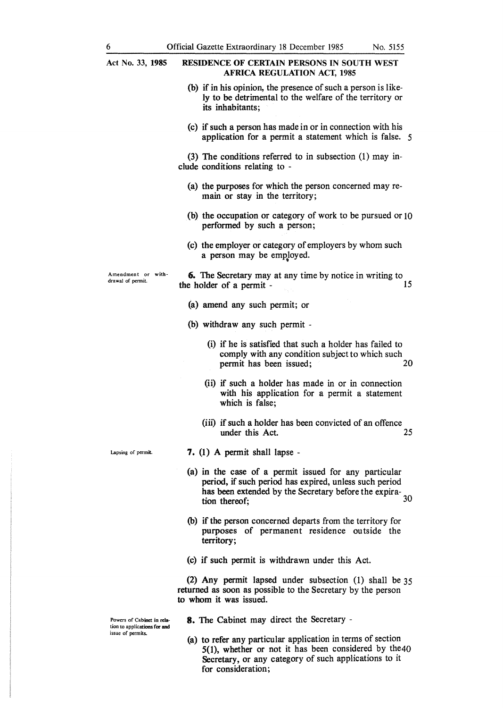| Act No. 33, 1985                                  | <b>RESIDENCE OF CERTAIN PERSONS IN SOUTH WEST</b><br><b>AFRICA REGULATION ACT, 1985</b>                                                                                                   |
|---------------------------------------------------|-------------------------------------------------------------------------------------------------------------------------------------------------------------------------------------------|
|                                                   | (b) if in his opinion, the presence of such a person is like-<br>ly to be detrimental to the welfare of the territory or<br>its inhabitants;                                              |
|                                                   | (c) if such a person has made in or in connection with his<br>application for a permit a statement which is false. 5                                                                      |
|                                                   | $(3)$ The conditions referred to in subsection $(1)$ may in-<br>clude conditions relating to -                                                                                            |
|                                                   | (a) the purposes for which the person concerned may re-<br>main or stay in the territory;                                                                                                 |
|                                                   | (b) the occupation or category of work to be pursued or 10<br>performed by such a person;                                                                                                 |
|                                                   | (c) the employer or category of employers by whom such<br>a person may be employed.                                                                                                       |
| Amendment or with-<br>drawal of permit.           | <b>6.</b> The Secretary may at any time by notice in writing to<br>15<br>the holder of a permit -                                                                                         |
|                                                   | (a) amend any such permit; or                                                                                                                                                             |
|                                                   | (b) withdraw any such permit -                                                                                                                                                            |
|                                                   | (i) if he is satisfied that such a holder has failed to<br>comply with any condition subject to which such<br>permit has been issued;<br>20                                               |
|                                                   | (ii) if such a holder has made in or in connection<br>with his application for a permit a statement<br>which is false;                                                                    |
|                                                   | (iii) if such a holder has been convicted of an offence<br>25<br>under this Act.                                                                                                          |
| Lapsing of permit.                                | 7. $(1)$ A permit shall lapse -                                                                                                                                                           |
|                                                   | (a) in the case of a permit issued for any particular<br>period, if such period has expired, unless such period<br>has been extended by the Secretary before the expira-<br>tion thereof; |
|                                                   | (b) if the person concerned departs from the territory for<br>purposes of permanent residence outside the<br>territory;                                                                   |
|                                                   | (c) if such permit is withdrawn under this Act.                                                                                                                                           |
|                                                   | (2) Any permit lapsed under subsection (1) shall be $35$<br>returned as soon as possible to the Secretary by the person<br>to whom it was issued.                                         |
| Powers of Cabinet in rela-                        | <b>8.</b> The Cabinet may direct the Secretary -                                                                                                                                          |
| tion to applications for and<br>issue of permits. |                                                                                                                                                                                           |

(a) to refer any particular application in terms of section 5(1), whether or not it has been considered by the40 Secretary, or any category of such applications to it for consideration;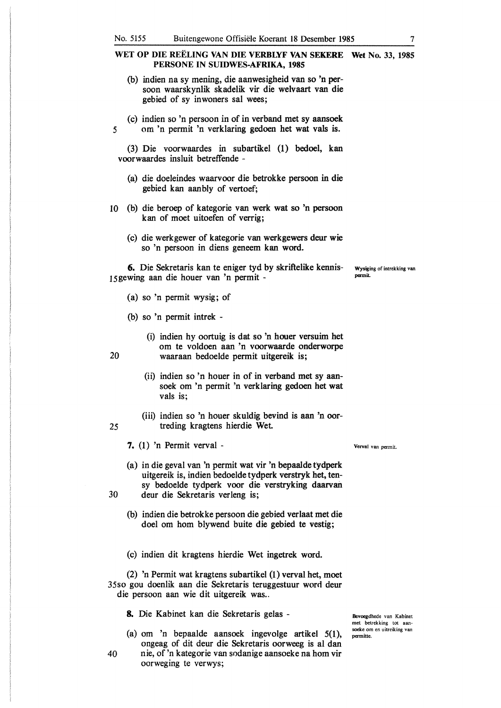- (b) indien na sy mening, die aanwesigheid van so 'n persoon waarskynlik skadelik vir die welvaart van die gebied of sy inwoners sal wees;
- (c) indien so 'n persoon in of in verband met sy aansoek *5* om 'n permit 'n verklaring gedoen het wat vals is.

(3) Die voorwaardes in subartikel (1) bedoel, kan voorwaardes insluit betreffende -

- (a) die doeleindes waarvoor die betrokke persoon in die gebied kan aanbly of vertoef;
- 10 (b) die beroep of kategorie van werk wat so 'n persoon kan of moet uitoefen of verrig;
	- (c) die werkgewer of kategorie van werkgewers deur wie so 'n persoon in diens geneem kan word.

6. Die Sekretaris kan te eniger tyd by skriftelike kennis- wysiging of intrekking van 15 gewing aan die houer van 'n permit-

- (a) so 'n permit wysig; of
- (b) so 'n permit intrek -
- (i) indien hy oortuig is dat so 'n houer versuim het om te voldoen aan 'n voorwaarde onderworpe 20 waaraan bedoelde permit uitgereik is;
	- (ii) indien so 'n houer in of in verband met sy aansoek om 'n permit 'n verklaring gedoen het wat vals is;
- (iii) indien so 'n houer skuldig bevind is aan 'n oor-25 treding kragtens hierdie Wet

7. (I) 'n Permit verval -

- (a) in die geval van 'n permit wat vir 'n bepaalde tydperk uitgereik is, indien bedoelde tydperk verstryk het, tensy bedoelde tydperk voor die verstryking daarvan 30 deur die Sekretaris verleng is;
	- (b) indien die betrokke persoon die gebied verlaat met die doel om horn blywend buite die gebied te vestig;
	- (c) indien dit kragtens hierdie Wet ingetrek word.

(2) 'n Permit wat kragtens subartikel (1) verval het, moet 35so gou doenlik aan die Sekretaris teruggestuur word deur die persoon aan wie dit uitgereik was...

8. Die Kabinet kan die Sekretaris gelas -

- (a) om 'n bepaalde aansoek ingevolge artikel 5(1), ongeag of dit deur die Sekretaris oorweeg is al dan
- 40 nie, of 'n kategorie van sodanige aansoeke na horn vir oorweging te verwys;

Bevoegdhede van Kabinet met betrekking tot aansoeke om en uitreiking van pennitte.

Verval van permit.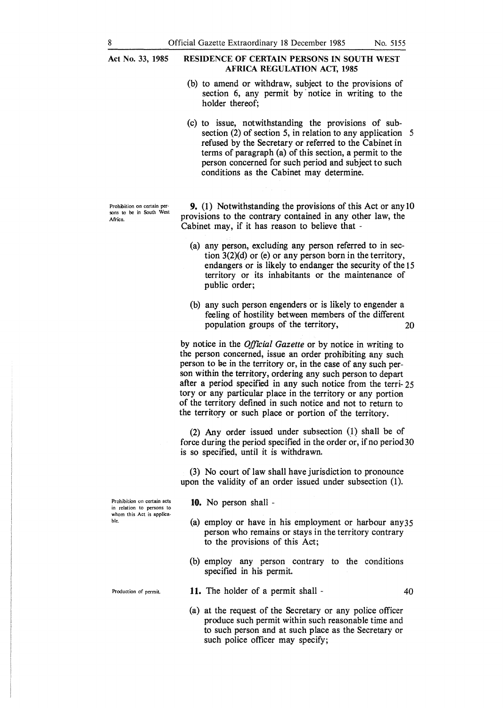**Act No. 33, 1985** 

Prohibition on certain persons to be in South West

Africa.

### **RESIDENCE OF CERTAIN PERSONS IN SOUTH WEST AFRICA REGULATION ACT, 1985**

- (b) to amend or withdraw, subject to the provisions of section 6, any permit by notice in writing to the holder thereof;
- (c) to issue, notwithstanding the provisions of subsection (2) of section 5, in relation to any application 5 refused by the Secretary or referred to the Cabinet in terms of paragraph (a) of this section, a permit to the person concerned for such period and subject to such conditions as the Cabinet may determine.

**9.** (I) Notwithstanding the provisions of this Act or any 10 provisions to the contrary contained in any other law, the Cabinet may, if it has reason to believe that -

- (a) any person, excluding any person referred to in section 3(2)(d) or (e) or any person born in the territory, endangers or is likely to endanger the security of the 15 territory or its inhabitants or the maintenance of public order;
- (b) any such person engenders or is likely to engender a feeling of hostility between members of the different population groups of the territory, 20

by notice in the *Offtcial Gazette* or by notice in writing to the person concerned, issue an order prohibiting any such person to be in the territory or, in the case of any such person within the territory, ordering any such person to depart after a period specified in any such notice from the terri- 25 tory or any particular place in the territory or any portion of the territory defined in such notice and not to return to the territory or such place or portion of the territory.

(2) Any order issued under subsection  $(1)$  shall be of force during the period specified in the order or, if no period30 is so specified, until it is withdrawn.

(3) No court of law shall have jurisdiction to pronounce upon the validity of an order issued under subsection (1).

**10.** No person shall -

- (a) employ or have in his employment or harbour any35 person who remains or stays in the territory contrary to the provisions of this Act;
- (b) employ any person contrary to the conditions specified in his permit.

**l l.** The holder of a permit shall -

(a) at the request of the Secretary or any police officer produce such permit within such reasonable time and to such person and at such place as the Secretary or such police officer may specify;

40

**Prohibition on certain acts in relation to persons to**  whom this Act is applicable.

Production of permit.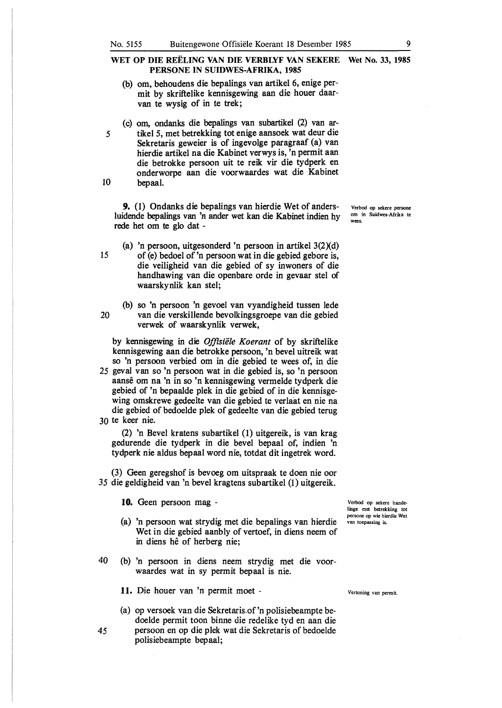- (b) om, behoudens die bepalings van artikel 6, enige permit by skriftelike kennisgewing aan die houer daarvan te wysig of in te trek;
- (c) om, ondanks die bepalings van subartikel (2) van ar-*5* tikel *5,* met betrekking tot enige aansoek wat deur die Sekretaris geweier is of ingevolge paragraaf (a) van hierdie artikel na die Kabinet verwys is, 'n permit aan die betrokke persoon uit te reik vir die tydperk en onderworpe aan die voorwaardes wat die Kabinet 10 bepaal.

**9.** (1) Ondanks die bepalings van hierdie Wet of andersluidende bepalings van 'n ander wet kan die Kabinet indien hy rede het om te glo dat -

- (a) 'n persoon, uitgesonderd 'n persoon in artikel 3(2Xd) 15 of (e) bedoel of 'n persoon wat in die gebied gebore is, die veiligheid van die gebied of sy inwoners of die handhawing van die openbare orde in gevaar stel of waarskynlik kan stel;
- (b) so 'n persoon 'n gevoel van vyandigheid tussen lede 20 van die verskillende bevolkingsgroepe van die gebied verwek of waarskynlik verwek,

by kennisgewing in die *Offisiiile Koerant* of by skriftelike kennisgewing aan die betrokke persoon, 'n bevel uitreik wat so 'n persoon verbied om in die gebied te wees of, in die

*25* geval van so 'n persoon wat in die gebied is, so 'n persoon aanse om na 'n in so 'n kennisgewing vermelde tydperk die gebied of 'n bepaalde plek in die gebied of in die kennisgewing omskrewe gedeelte van die gebied te verlaat en nie na die gebied of bedoelde plek of gedeelte van die gebied terug 30 te keer nie.

(2) 'n Bevel kratens subartikel (1) uitgereik, is van krag gedurende die tydperk in die bevel bepaal of, indien 'n tydperk nie aldus bepaal word nie, totdat dit ingetrek word.

(3) Geen geregshof is bevoeg om uitspraak te doen nie oor *35* die geldigheid van 'n bevel kragtens subartikel (1) uitgereik.

**1 O.** Geen persoon mag -

- (a) 'n persoon wat strydig met die bepalings van hierdie Wet in die gebied aanbly of vertoef, in diens neem of in diens hê of herberg nie;
- 40 (b) 'n persoon in diens neem strydig met die voorwaardes wat in sy permit bepaal is nie.

**11.** Die houer van 'n permit moet -

(a) op versoek van die Sekretaris.of'n polisiebeampte bedoelde permit toon binne die redelike tyd en aan die *45* persoon en op die plek wat die Sekretaris of bedoelde polisiebeampte bepaal;

Verbod op sekere handelinge met betrekking tot persone op wie hierdie Wet van toepassing is.

Verbod op sekere persone om in Suidwes-Afrika te wees.

Vertoning van permit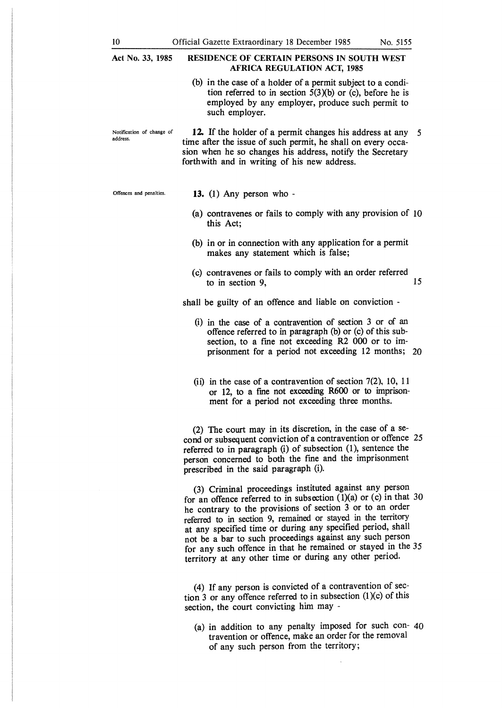| Act No. 33, 1985                      | <b>RESIDENCE OF CERTAIN PERSONS IN SOUTH WEST</b><br><b>AFRICA REGULATION ACT, 1985</b>                                                                                                                                                                                                                                                                                                                                                                                                                             |  |  |  |  |
|---------------------------------------|---------------------------------------------------------------------------------------------------------------------------------------------------------------------------------------------------------------------------------------------------------------------------------------------------------------------------------------------------------------------------------------------------------------------------------------------------------------------------------------------------------------------|--|--|--|--|
|                                       | (b) in the case of a holder of a permit subject to a condi-<br>tion referred to in section $5(3)(b)$ or (c), before he is<br>employed by any employer, produce such permit to<br>such employer.                                                                                                                                                                                                                                                                                                                     |  |  |  |  |
| Notification of change of<br>address. | 12. If the holder of a permit changes his address at any<br>- 5<br>time after the issue of such permit, he shall on every occa-<br>sion when he so changes his address, notify the Secretary<br>forthwith and in writing of his new address.                                                                                                                                                                                                                                                                        |  |  |  |  |
| Offences and penalties.               | 13. $(1)$ Any person who -                                                                                                                                                                                                                                                                                                                                                                                                                                                                                          |  |  |  |  |
|                                       | (a) contravenes or fails to comply with any provision of 10<br>this Act;                                                                                                                                                                                                                                                                                                                                                                                                                                            |  |  |  |  |
|                                       | (b) in or in connection with any application for a permit<br>makes any statement which is false;                                                                                                                                                                                                                                                                                                                                                                                                                    |  |  |  |  |
|                                       | (c) contravenes or fails to comply with an order referred<br>15<br>to in section 9,                                                                                                                                                                                                                                                                                                                                                                                                                                 |  |  |  |  |
|                                       | shall be guilty of an offence and liable on conviction -                                                                                                                                                                                                                                                                                                                                                                                                                                                            |  |  |  |  |
|                                       | (i) in the case of a contravention of section 3 or of an<br>offence referred to in paragraph (b) or (c) of this sub-<br>section, to a fine not exceeding R2 000 or to im-<br>prisonment for a period not exceeding 12 months; 20                                                                                                                                                                                                                                                                                    |  |  |  |  |
|                                       | (ii) in the case of a contravention of section $7(2)$ , 10, 11<br>or 12, to a fine not exceeding R600 or to imprison-<br>ment for a period not exceeding three months.                                                                                                                                                                                                                                                                                                                                              |  |  |  |  |
|                                       | (2) The court may in its discretion, in the case of a se-<br>cond or subsequent conviction of a contravention or offence 25<br>referred to in paragraph (i) of subsection (1), sentence the<br>person concerned to both the fine and the imprisonment<br>prescribed in the said paragraph (i).                                                                                                                                                                                                                      |  |  |  |  |
|                                       | (3) Criminal proceedings instituted against any person<br>for an offence referred to in subsection $(1)(a)$ or $(c)$ in that 30<br>he contrary to the provisions of section 3 or to an order<br>referred to in section 9, remained or stayed in the territory<br>at any specified time or during any specified period, shall<br>not be a bar to such proceedings against any such person<br>for any such offence in that he remained or stayed in the 35<br>territory at any other time or during any other period. |  |  |  |  |
|                                       |                                                                                                                                                                                                                                                                                                                                                                                                                                                                                                                     |  |  |  |  |

(4) If any person is convicted of a contravention of section 3 or any offence referred to in subsection  $(1)(c)$  of this section, the court convicting him may -

(a) in addition to any penalty imposed for such con- 40 travention or offence, make an order for the removal of any such person from the territory;

 $\bar{\phantom{a}}$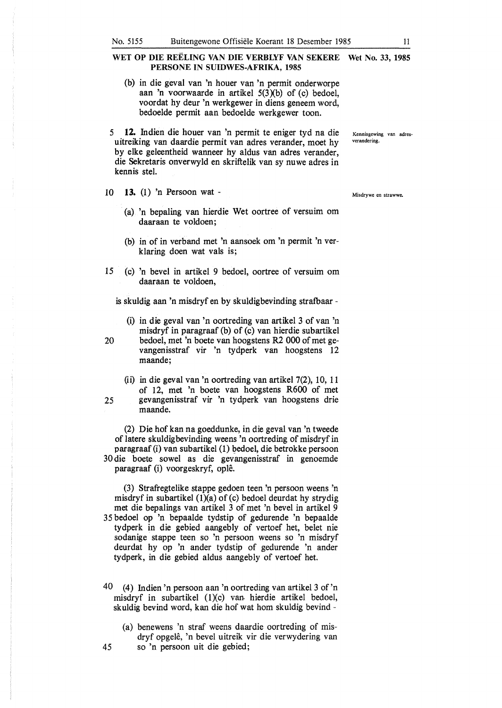- (b) in die geval van 'n houer van 'n permit onderworpe aan 'n voorwaarde in artikel 5(3Xb) of (c) bedoel, voordat hy deur 'n werkgewer in diens geneem word, bedoelde permit aan bedoelde werkgewer toon.
- 5 **12.** Indien die houer van 'n permit te eniger tyd na die Kennisgewing van adres-<br>uitreiking van daardie permit van adres verender moet by verandering. uitreiking van daardie permit van adres verander, moet hy by elke geleentheid wanneer hy aldus van adres verander, die Sekretaris onverwyld en skriftelik van sy nuwe adres in kennis stel.
- 10 13. (1) 'n Persoon wat
	- (a) 'n bepaling van hierdie Wet oortree of versuim om daaraan te voldoen;
	- (b) in of in verband met 'n aansoek om 'n permit 'n verklaring doen wat vals is;
- 15 (c) 'n bevel in artikel 9 bedoel, oortree of versuim om daaraan te voldoen,

is skuldig aan 'n misdryf en by skuldigbevinding strafbaar -

- (i) in die geval van 'n oortreding van artikel 3 of van 'n misdryf in paragraaf (b) of (c) van hierdie subartikel 20 bedoel, met 'n boete van hoogstens R2 000 of met gevangenisstraf vir 'n tydperk van hoogstens 12 maande;
- (ii) in die geval van 'n oortreding van artikel 7(2), 10, 11 of 12, met 'n boete van hoogstens R600 of met 25 gevangenisstraf vir 'n tydperk van hoogstens drie maande.

(2) Die hof kan na goeddunke, in die geval van 'n tweede of latere skuldigbevinding weens 'n oortreding of misdryf in paragraaf (i) van subartikel (1) bedoel, die betrokke persoon 30 die boete sowel as die gevangenisstraf in genoemde paragraaf (i) voorgeskryf, ople.

(3) Strafregtelike stappe gedoen teen 'n persoon weens 'n misdryf in subartikel  $(1)(a)$  of  $(c)$  bedoel deurdat hy strydig met die bepalings van artikel 3 of met 'n bevel in artikel 9 35 bedoel op 'n bepaalde tydstip of gedurende 'n bepaalde tydperk in die gebied aangebly of vertoef het, belet nie sodanige stappe teen so 'n persoon weens so 'n misdryf deurdat hy op 'n ander tydstip of gedurende 'n ander tydperk, in die gebied aldus aangebly of vertoef het.

- 40 (4) Indien 'n persoon aan 'n oortreding van artikel 3 of 'n misdryf in subartikel  $(1)(c)$  van hierdie artikel bedoel, skuldig bevind word, kan die hof wat horn skuldig bevind -
- (a) benewens 'n straf weens daardie oortreding of misdryf opgele, 'n bevel uitreik vir die verwydering van 45 so 'n persoon uit die gebied;

Misdrywe en strawwe.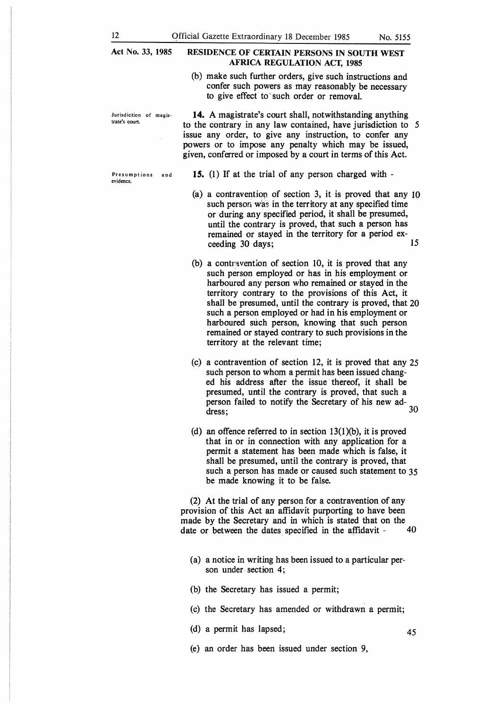#### **Act No. 33, 1985 RESIDENCE OF CERTAIN PERSONS IN SOUTH WEST AFRICA REGULATION ACT, 1985**

(b) make such further orders, give such instructions and confer such powers as may reasonably be necessary to give effect to such order or removal.

**trate's court.** 

**14.** A magistrate's court shall, notwithstanding anything to the contrary in any law contained, have jurisdiction to *5*  issue any order, to give any instruction, to confer any powers or to impose any penalty which may be issued, given, conferred or imposed by a court in terms of this Act.

**15.** (1) If at the trial of any person charged with -

- (a) a contraventiop of section 3, it is proved that any 10 such person was in the territory at any specified time or during any specified period, it shall be presumed, until the contrary is proved, that such a person has remained or stayed in the territory for a period exceeding 30 days; 15
- (b) a contrwention of section 10, it is proved that any such person employed or has in his employment or harboured any person who remained or stayed in the territory contrary to the provisions of this Act, it shall be presumed, until the contrary is proved, that 20 such a person employed or had in his employment or harboured such person, knowing that such person remained or stayed contrary to such provisions in the territory at the relevant time;
- (c) a contravention of section 12, it is proved that any 25 such person to whom a permit has been issued changed his address after the issue thereof, it shall be presumed, until the contrary is proved, that such a person failed to notify the Secretary of his new address; 30
- (d) an offence referred to in section 13(1)(b), it is proved that in or in connection with any application for a permit a statement has been made which is false, it shall be presumed, until the contrary is proved, that such a person has made or caused such statement to 35 be made knowing it to be false.

(2) At the trial of any person for a contravention of any provision of this Act an affidavit purporting to have been made by the Secretary and in which is stated that on the date or between the dates specified in the affidavit - 40 date or between the dates specified in the affidavit -

- (a) a notice in writing has been issued to a particular person under. section 4;
- (b) the Secretary has issued a permit;
- (c) the Secretary has amended or withdrawn a permit;
- (d) a permit has lapsed;
- (e) an order has been issued under section 9,

Jurisdiction of magis-

Presumptions and evidence.

45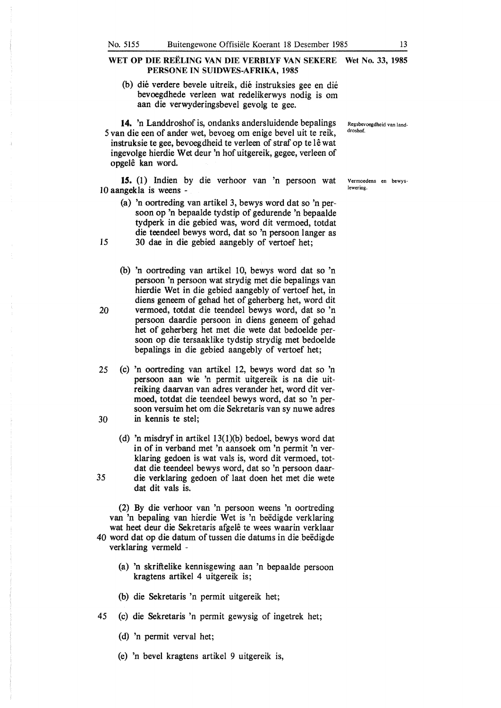(b) die verdere bevele uitreik, die instruksies gee en die bevoegdhede verleen wat redelikerwys nodig is om aan die verwyderingsbevel gevolg te gee.

**14.** 'n Landdroshof is, ondanks andersluidende bepalings 5 van die een of ander wet, bevoeg om enige bevel uit te reik, instruksie te gee, bevoegdheid te verleen of straf op te lê wat ingevolge hierdie Wet deur 'n hof uitgereik, gegee, verleen of opgele kan word.

**15.** (1) lndien by die verhoor van 'n persoon wat 10 aangekla is weens -

- (a) 'n oortreding van artikel 3, bewys word dat so 'n persoon op 'n bepaalde tydstip of gedurende 'n bepaalde tydperk in die gebied was, word dit vermoed, totdat die teendeel bewys word, dat so 'n persoon langer as 15 30 dae in die gebied aangebly of vertoef het;
- (b) 'n oortreding van artikel 10, bewys word dat so 'n persoon 'n persoon wat strydig met die bepalings van hierdie Wet in die gebied aangebly of vertoef het, in diens geneem of gehad het of geherberg het, word dit 20 vermoed, totdat die teendeel bewys word, dat so 'n persoon daardie persoon in diens geneem of gehad het of geherberg het met die wete dat bedoelde persoon op die tersaaklike tydstip strydig met bedoelde bepalings in die gebied aangebly of vertoef het;
- *25* (c) 'n oortreding van artikel 12, bewys word dat so 'n persoon aan wie 'n permit uitgereik is na die uitreiking daarvan van adres verander het, word dit vermoed, totdat die teendeel bewys word, dat so 'n persoon versuim het om die Sekretaris van sy nuwe adres 30 in kennis te stet;
- (d) 'n misdryf in artikel 13(1)(b) bedoel, bewys word dat in of in verband met 'n aansoek om 'n permit 'n verklaring gedoen is wat vals is, word dit vermoed, totdat die teendeel bewys word, dat so 'n persoon daar-*35* die verklaring gedoen of laat doen het met die wete dat dit vals is.

(2) By die verhoor van 'n persoon weens 'n oortreding van 'n bepaling van hierdie Wet is 'n beëdigde verklaring wat heet deur die Sekretaris afgelê te wees waarin verklaar 40 word dat op die datum of tussen die datums in die beëdigde verklaring vermeld -

- (a) 'n skriftelike kennisgewing aan 'n bepaalde persoon kragtens artikel 4 uitgereik is;
- (b) die Sekretaris 'n permit uitgereik het;
- 45 (c) die Sekretaris 'n permit gewysig of ingetrek het;
	- (d) 'n permit verval het;
	- (e) 'n bevel kragtens artikel 9 uitgereik is,

Regsbevoegdheid van landdroshof.

Vermoedens en bewyslewering.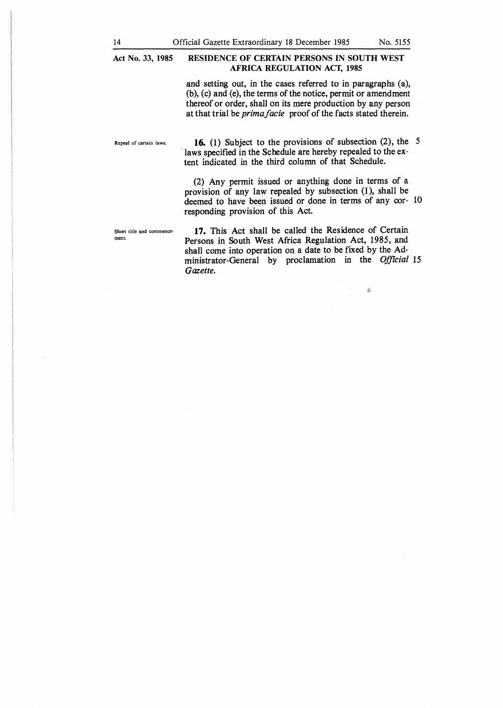# **Act No. 33, 1985 RESIDENCE OF CERTAIN PERSONS IN SOUTH WEST AFRICA REGULATION ACT, 1985**

and setting out, in the cases referred to in paragraphs (a), (b), (c) and (e), the terms of the notice, permit or amendment thereof or order, shall on its mere production by any person at that trial be *prima facie* proof of the facts stated therein.

Repeal of certain laws. **16.** (1) Subject to the provisions of subsection (2), the *5*  laws specified in the Schedule are hereby repealed to the extent indicated in the third column of that Schedule.

> (2) Any permit issued or anything done in terms of a provision of any law repealed by subsection (1), shall be deemed to have been issued or done in terms of any cor- 10 responding provision of this Act.

Short title and commencemenL

17. This Act shall be called the Residence of Certain Persons in South West Africa Regulation Act, 1985, and shall come into operation on a date to be fixed by the Administrator-General by proclamation in the *Offzcial* 15 *Gazette.* 

 $\frac{1}{20}$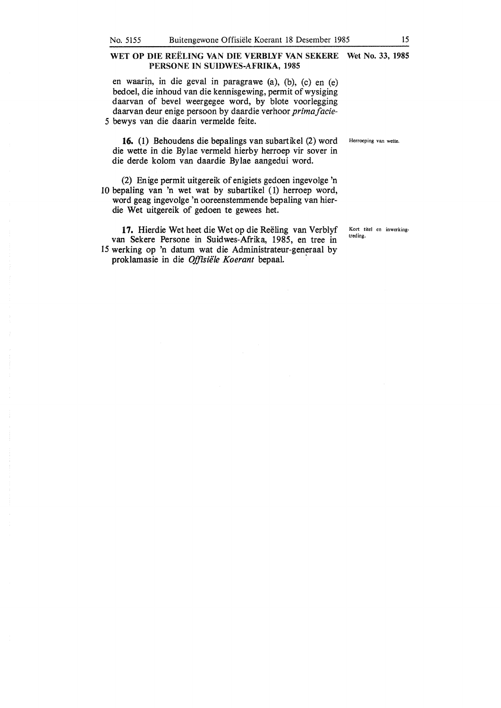en waarin, in die geval in paragrawe  $(a)$ ,  $(b)$ ,  $(c)$  en  $(e)$ bedoel, die inhoud van die kennisgewing, permit of wysiging daarvan of bevel weergegee word, by blote voorlegging daarvan deur enige per soon by daardie verhoor *primaf acie-*5 bewys van die daarin vermelde feite.

16. (1) Behoudens die bepalings van subartikel (2) word Herroeping van wette. die wette in die Bylae vermeld hierby herroep vir sover in die derde kolom van daardie Bylae aangedui word.

(2) Enige permit uitgereik of enigiets gedoen ingevolge 'n 10 bepaling van 'n wet wat by subartikel ( 1) herroep word, word geag ingevolge 'n ooreenstemmende bepaling van hierdie Wet uitgereik of gedoen te gewees het.

17. Hierdie Wet heet die Wet op die Reëling van Verblyf van Sekere Persone in Suidwes-Afrika, 1985, en tree in 15 werking op 'n datum wat die Administrateur-generaal by proklamasie in die *Offisiële Koerant* bepaal.

Kort titel en inwerkingtreding.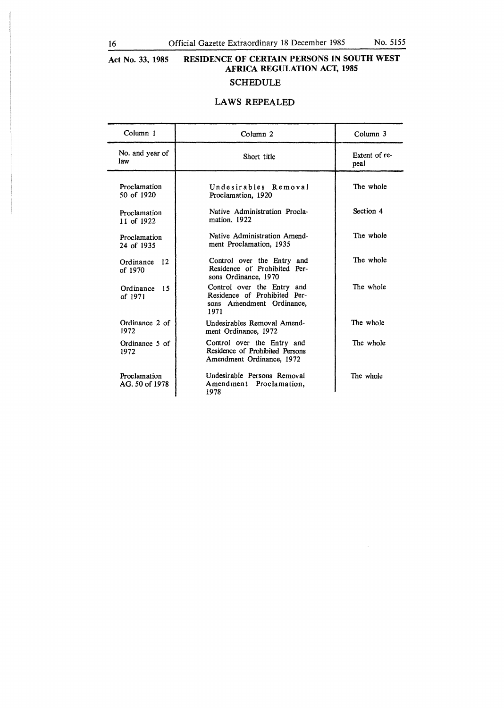$\bar{z}$ 

#### **Act No. 33, 1985 RESIDENCE OF CERTAIN PERSONS IN SOUTH WEST AFRICA REGULATION ACT, 1985**  SCHEDULE

# **LAWS** REPEALED

| Column 1                       | Column <sub>2</sub>                                                                             | Column <sub>3</sub>   |
|--------------------------------|-------------------------------------------------------------------------------------------------|-----------------------|
| No. and year of<br>law         | Short title                                                                                     | Extent of re-<br>peal |
| Proclamation<br>50 of 1920     | Undesirables Removal<br>Proclamation, 1920                                                      | The whole             |
| Proclamation<br>11 of $1922$   | Native Administration Procla-<br>mation, 1922                                                   | Section 4             |
| Proclamation<br>24 of 1935     | Native Administration Amend-<br>ment Proclamation, 1935                                         | The whole             |
| 12<br>Ordinance<br>of 1970     | Control over the Entry and<br>Residence of Prohibited Per-<br>sons Ordinance, 1970              | The whole             |
| Ordinance<br>15<br>of 1971     | Control over the Entry and<br>Residence of Prohibited Per-<br>sons Amendment Ordinance,<br>1971 | The whole             |
| Ordinance 2 of<br>1972         | Undesirables Removal Amend-<br>ment Ordinance, 1972                                             | The whole             |
| Ordinance 5 of<br>1972         | Control over the Entry and<br>Residence of Prohibited Persons<br>Amendment Ordinance, 1972      | The whole             |
| Proclamation<br>AG. 50 of 1978 | Undesirable Persons Removal<br>Amendment Proclamation,<br>1978                                  | The whole             |

1